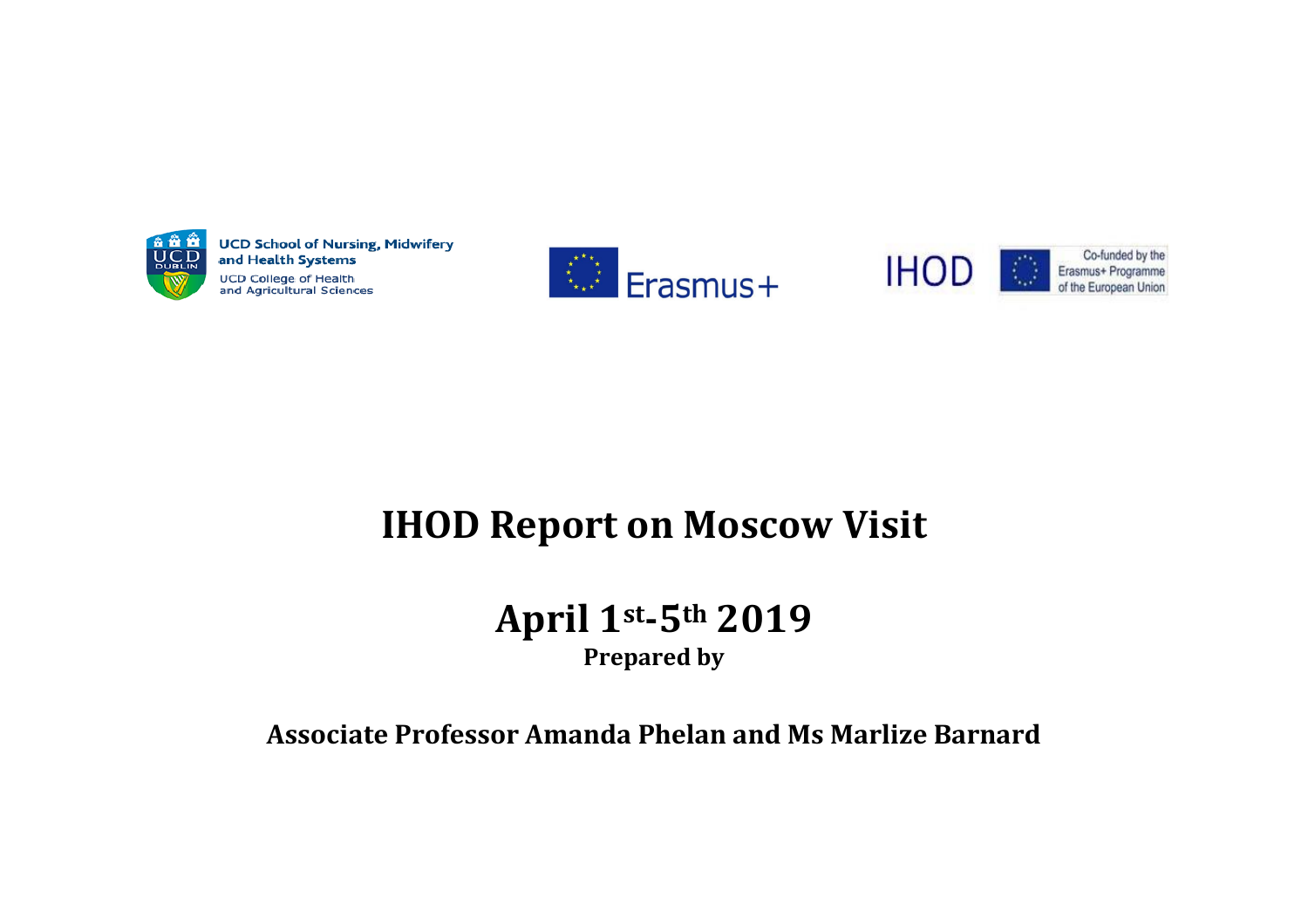

**UCD School of Nursing, Midwifery** and Health Systems **UCD College of Health** and Agricultural Sciences







# **IHOD Report on Moscow Visit**

## **April 1st-5th 2019 Prepared by**

### **Associate Professor Amanda Phelan and Ms Marlize Barnard**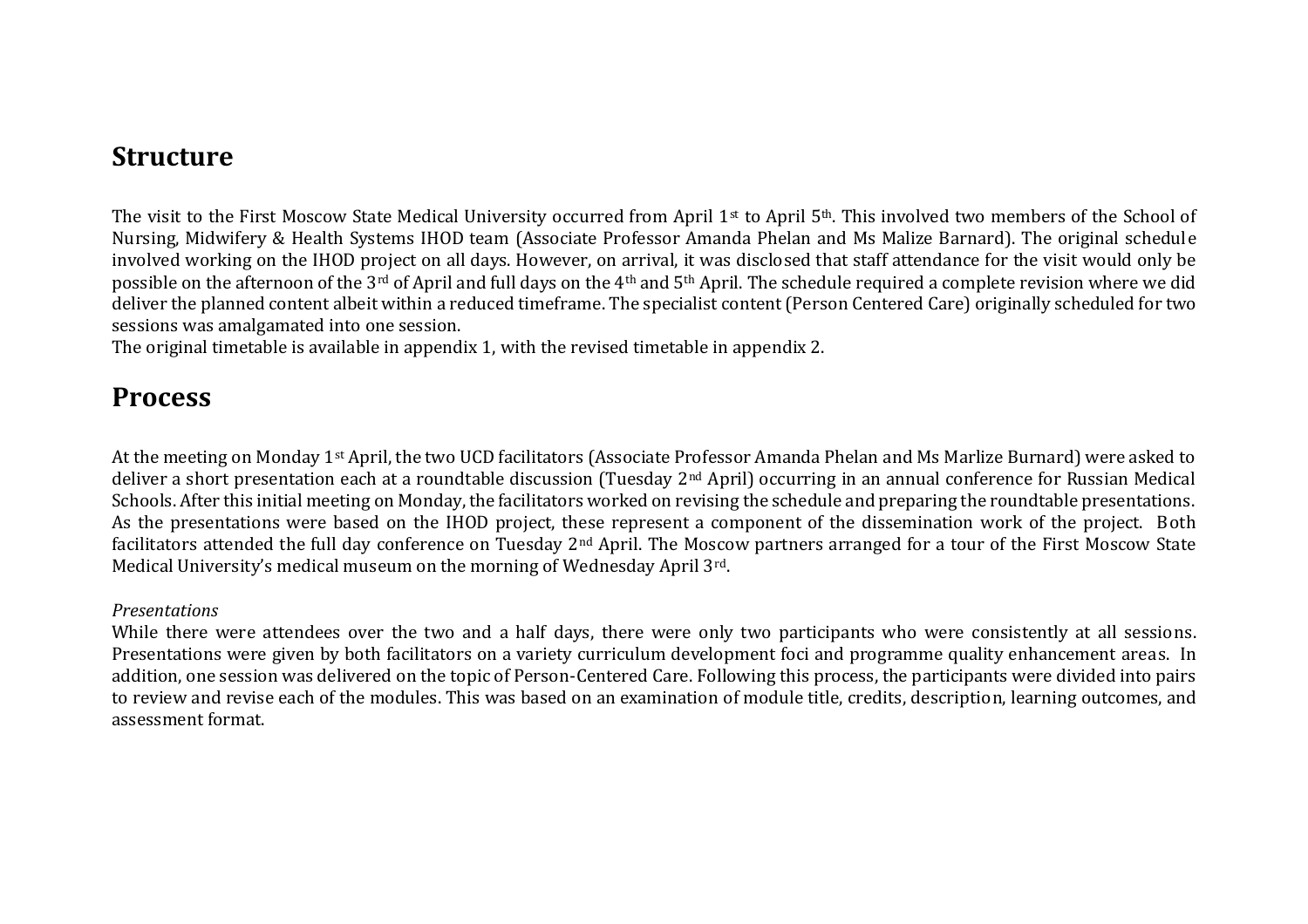### **Structure**

The visit to the First Moscow State Medical University occurred from April 1<sup>st</sup> to April 5<sup>th</sup>. This involved two members of the School of Nursing, Midwifery & Health Systems IHOD team (Associate Professor Amanda Phelan and Ms Malize Barnard). The original schedule involved working on the IHOD project on all days. However, on arrival, it was disclosed that staff attendance for the visit would only be possible on the afternoon of the 3rd of April and full days on the 4th and 5th April. The schedule required a complete revision where we did deliver the planned content albeit within a reduced timeframe. The specialist content (Person Centered Care) originally scheduled for two sessions was amalgamated into one session.

The original timetable is available in appendix 1, with the revised timetable in appendix 2.

### **Process**

At the meeting on Monday 1st April, the two UCD facilitators (Associate Professor Amanda Phelan and Ms Marlize Burnard) were asked to deliver a short presentation each at a roundtable discussion (Tuesday 2nd April) occurring in an annual conference for Russian Medical Schools. After this initial meeting on Monday, the facilitators worked on revising the schedule and preparing the roundtable presentations. As the presentations were based on the IHOD project, these represent a component of the dissemination work of the project. Both facilitators attended the full day conference on Tuesday 2nd April. The Moscow partners arranged for a tour of the First Moscow State Medical University's medical museum on the morning of Wednesday April 3rd.

#### *Presentations*

While there were attendees over the two and a half days, there were only two participants who were consistently at all sessions. Presentations were given by both facilitators on a variety curriculum development foci and programme quality enhancement areas. In addition, one session was delivered on the topic of Person-Centered Care. Following this process, the participants were divided into pairs to review and revise each of the modules. This was based on an examination of module title, credits, description, learning outcomes, and assessment format.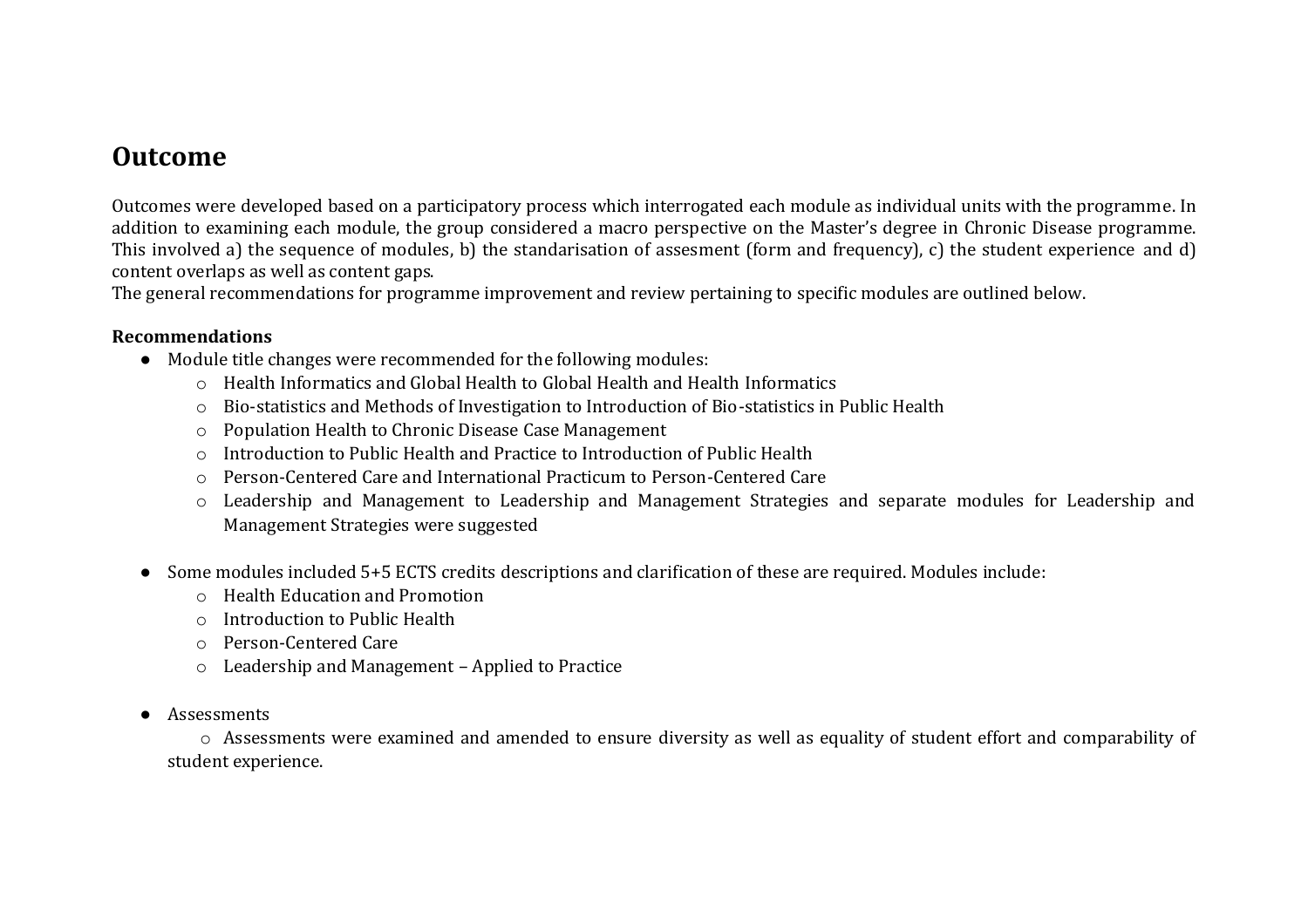### **Outcome**

Outcomes were developed based on a participatory process which interrogated each module as individual units with the programme. In addition to examining each module, the group considered a macro perspective on the Master's degree in Chronic Disease programme. This involved a) the sequence of modules, b) the standarisation of assesment (form and frequency), c) the student experience and d) content overlaps as well as content gaps.

The general recommendations for programme improvement and review pertaining to specific modules are outlined below.

#### **Recommendations**

- Module title changes were recommended for the following modules:
	- o Health Informatics and Global Health to Global Health and Health Informatics
	- o Bio-statistics and Methods of Investigation to Introduction of Bio-statistics in Public Health
	- o Population Health to Chronic Disease Case Management
	- o Introduction to Public Health and Practice to Introduction of Public Health
	- o Person-Centered Care and International Practicum to Person-Centered Care
	- o Leadership and Management to Leadership and Management Strategies and separate modules for Leadership and Management Strategies were suggested
- Some modules included 5+5 ECTS credits descriptions and clarification of these are required. Modules include:
	- o Health Education and Promotion
	- o Introduction to Public Health
	- o Person-Centered Care
	- o Leadership and Management Applied to Practice
- Assessments

o Assessments were examined and amended to ensure diversity as well as equality of student effort and comparability of student experience.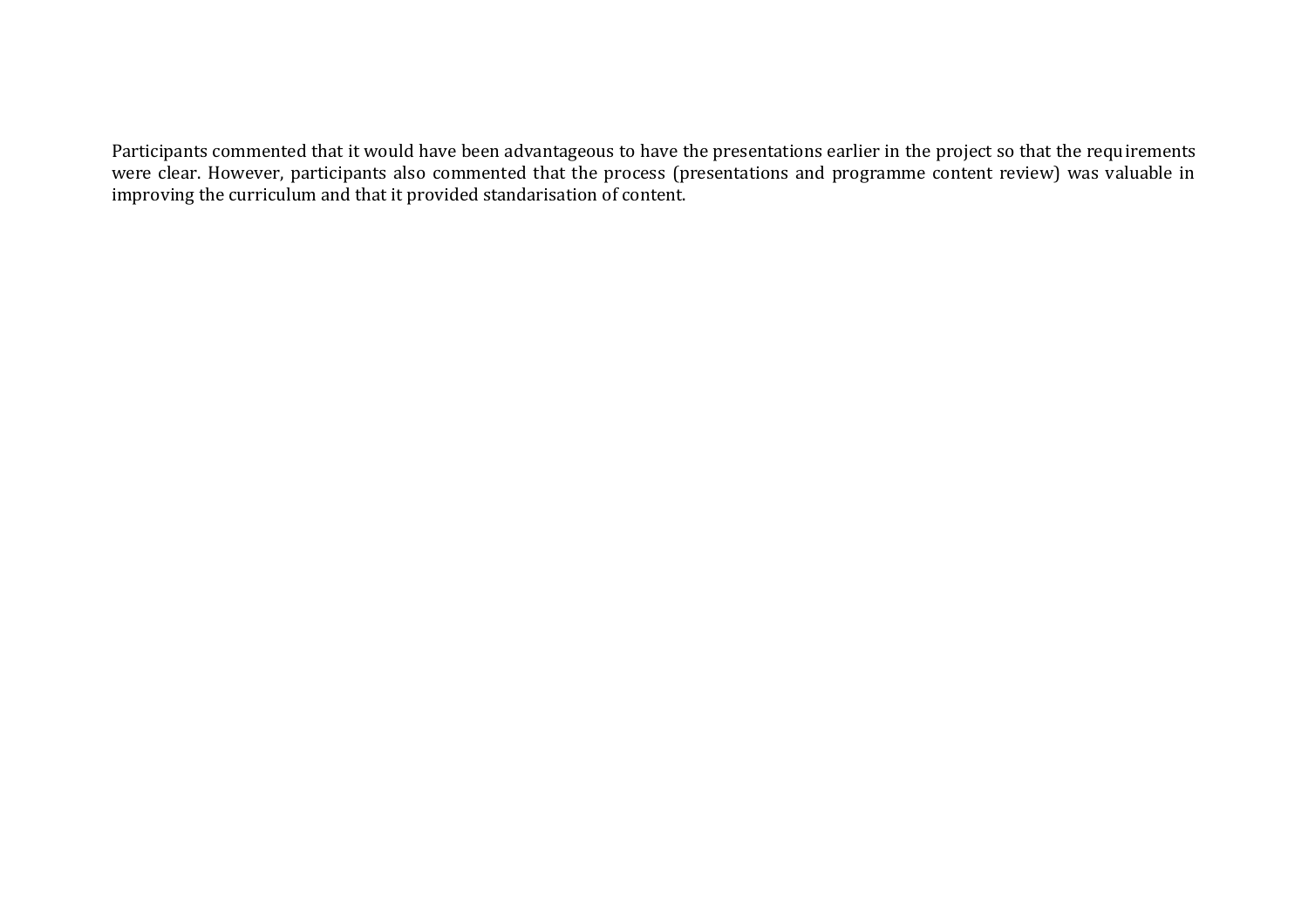Participants commented that it would have been advantageous to have the presentations earlier in the project so that the requirements were clear. However, participants also commented that the process (presentations and programme content review) was valuable in improving the curriculum and that it provided standarisation of content.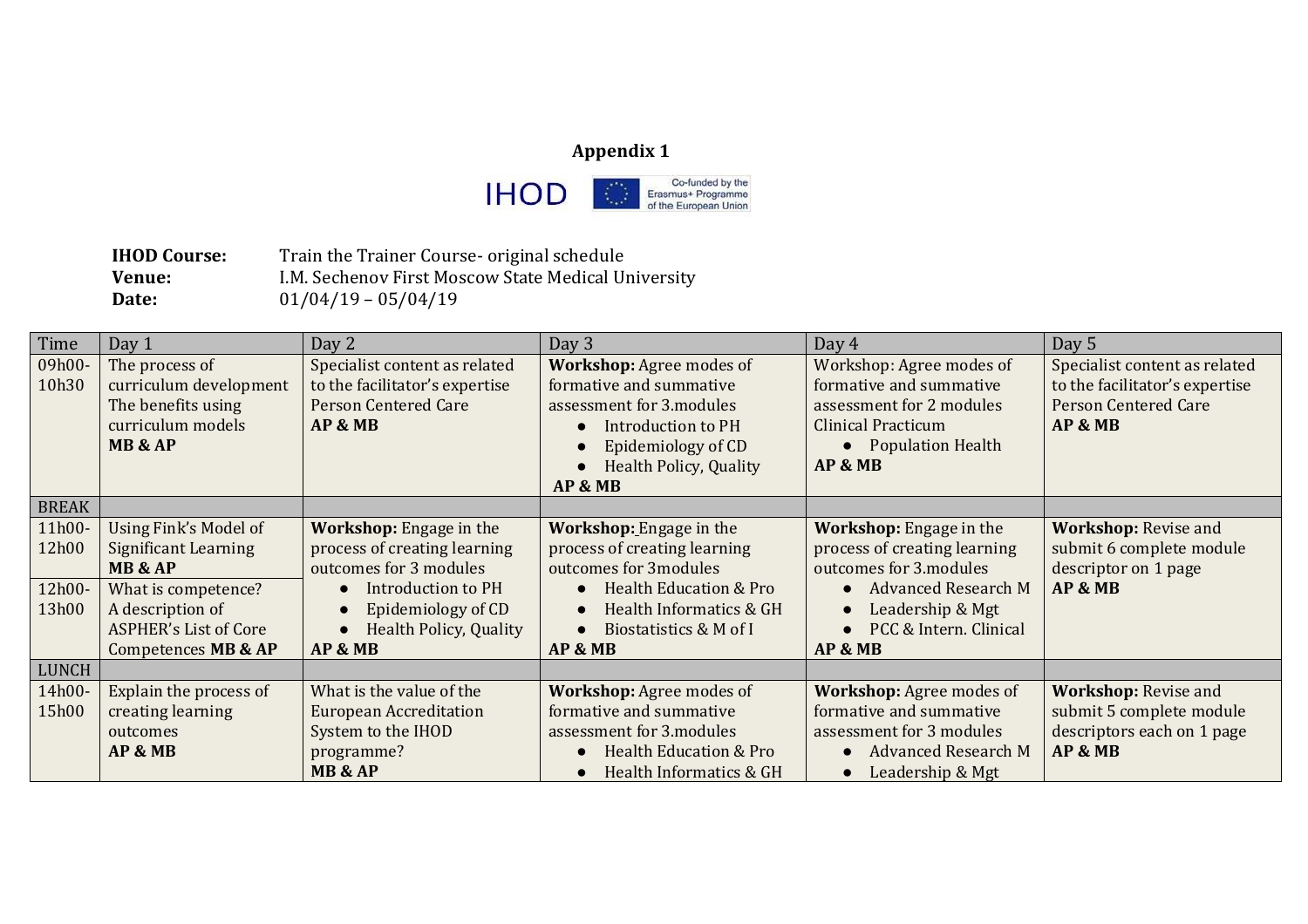#### **Appendix 1**



**IHOD Course:** Train the Trainer Course- original schedule **Venue:** I.M. Sechenov First Moscow State Medical University **Date:** 01/04/19 – 05/04/19

| Time         | Day 1                        | Day 2                          | Day 3                             | Day 4                           | Day 5                          |
|--------------|------------------------------|--------------------------------|-----------------------------------|---------------------------------|--------------------------------|
| 09h00-       | The process of               | Specialist content as related  | <b>Workshop:</b> Agree modes of   | Workshop: Agree modes of        | Specialist content as related  |
| 10h30        | curriculum development       | to the facilitator's expertise | formative and summative           | formative and summative         | to the facilitator's expertise |
|              | The benefits using           | <b>Person Centered Care</b>    | assessment for 3.modules          | assessment for 2 modules        | <b>Person Centered Care</b>    |
|              | curriculum models            | AP & MB                        | <b>Introduction to PH</b>         | <b>Clinical Practicum</b>       | AP & MB                        |
|              | <b>MB &amp; AP</b>           |                                | Epidemiology of CD                | • Population Health             |                                |
|              |                              |                                | <b>Health Policy, Quality</b>     | AP & MB                         |                                |
|              |                              |                                | AP & MB                           |                                 |                                |
| <b>BREAK</b> |                              |                                |                                   |                                 |                                |
| 11h00-       | Using Fink's Model of        | <b>Workshop:</b> Engage in the | Workshop: Engage in the           | <b>Workshop:</b> Engage in the  | <b>Workshop: Revise and</b>    |
| 12h00        | <b>Significant Learning</b>  | process of creating learning   | process of creating learning      | process of creating learning    | submit 6 complete module       |
|              | <b>MB &amp; AP</b>           | outcomes for 3 modules         | outcomes for 3modules             | outcomes for 3.modules          | descriptor on 1 page           |
| 12h00-       | What is competence?          | <b>Introduction to PH</b>      | <b>Health Education &amp; Pro</b> | <b>Advanced Research M</b>      | AP & MB                        |
| 13h00        | A description of             | Epidemiology of CD             | Health Informatics & GH           | Leadership & Mgt                |                                |
|              | <b>ASPHER's List of Core</b> | <b>Health Policy, Quality</b>  | Biostatistics & M of I            | PCC & Intern. Clinical          |                                |
|              | Competences MB & AP          | AP & MB                        | AP & MB                           | AP & MB                         |                                |
| <b>LUNCH</b> |                              |                                |                                   |                                 |                                |
| 14h00-       | Explain the process of       | What is the value of the       | Workshop: Agree modes of          | <b>Workshop:</b> Agree modes of | <b>Workshop: Revise and</b>    |
| 15h00        | creating learning            | <b>European Accreditation</b>  | formative and summative           | formative and summative         | submit 5 complete module       |
|              | outcomes                     | System to the IHOD             | assessment for 3.modules          | assessment for 3 modules        | descriptors each on 1 page     |
|              | AP & MB                      | programme?                     | <b>Health Education &amp; Pro</b> | <b>Advanced Research M</b>      | AP & MB                        |
|              |                              | MB & AP                        | Health Informatics & GH           | Leadership & Mgt                |                                |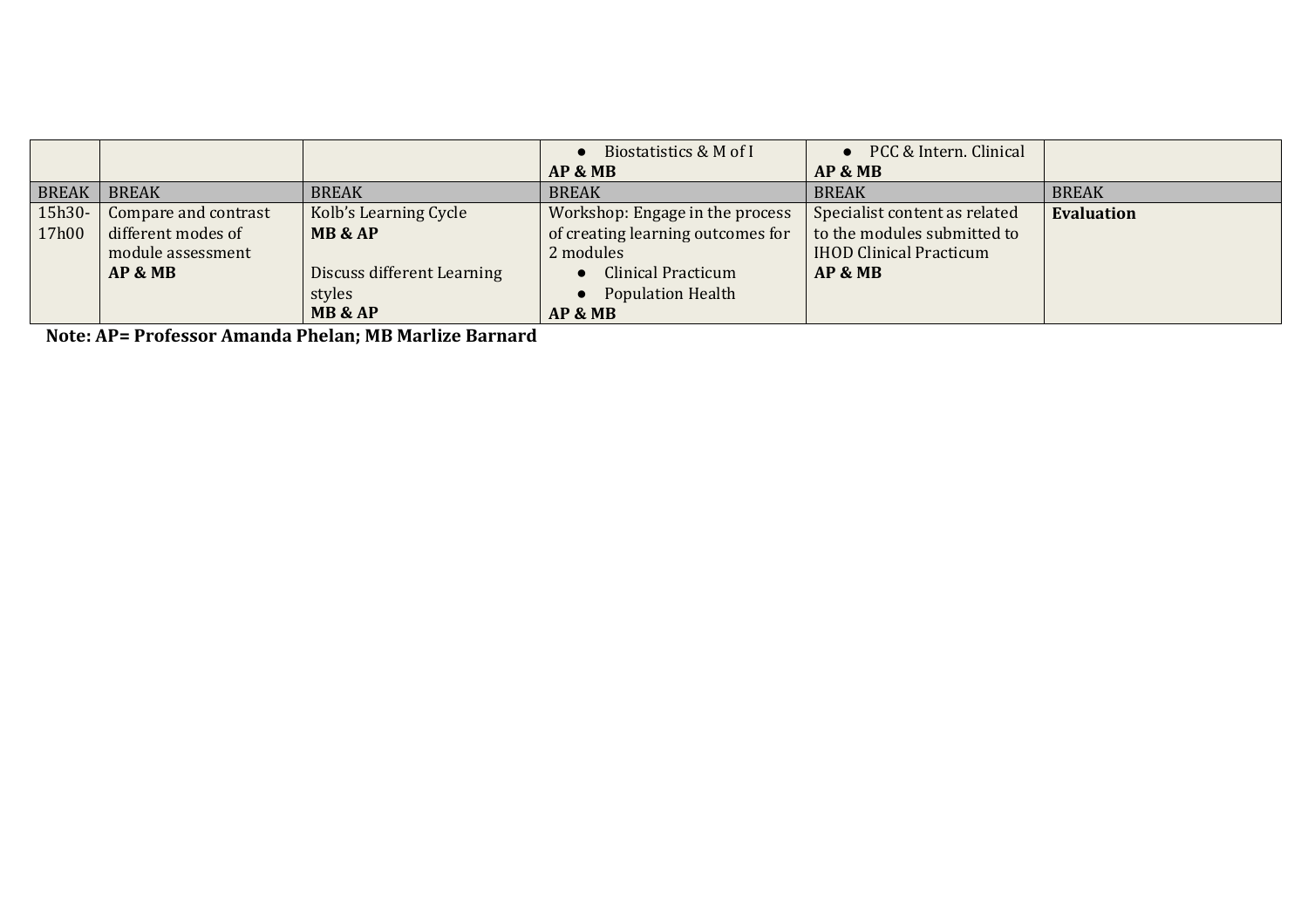|              |                      |                            | Biostatistics & M of I            | PCC & Intern. Clinical         |                   |
|--------------|----------------------|----------------------------|-----------------------------------|--------------------------------|-------------------|
|              |                      |                            | AP & MB                           | AP & MB                        |                   |
| <b>BREAK</b> | <b>BREAK</b>         | <b>BREAK</b>               | <b>BREAK</b>                      | <b>BREAK</b>                   | <b>BREAK</b>      |
| $15h30-$     | Compare and contrast | Kolb's Learning Cycle      | Workshop: Engage in the process   | Specialist content as related  | <b>Evaluation</b> |
| 17h00        | different modes of   | <b>MB &amp; AP</b>         | of creating learning outcomes for | to the modules submitted to    |                   |
|              | module assessment    |                            | 2 modules                         | <b>IHOD Clinical Practicum</b> |                   |
|              | AP & MB              | Discuss different Learning | <b>Clinical Practicum</b>         | AP & MB                        |                   |
|              |                      | styles                     | <b>Population Health</b>          |                                |                   |
|              |                      | MB & AP                    | AP & MB                           |                                |                   |

**Note: AP= Professor Amanda Phelan; MB Marlize Barnard**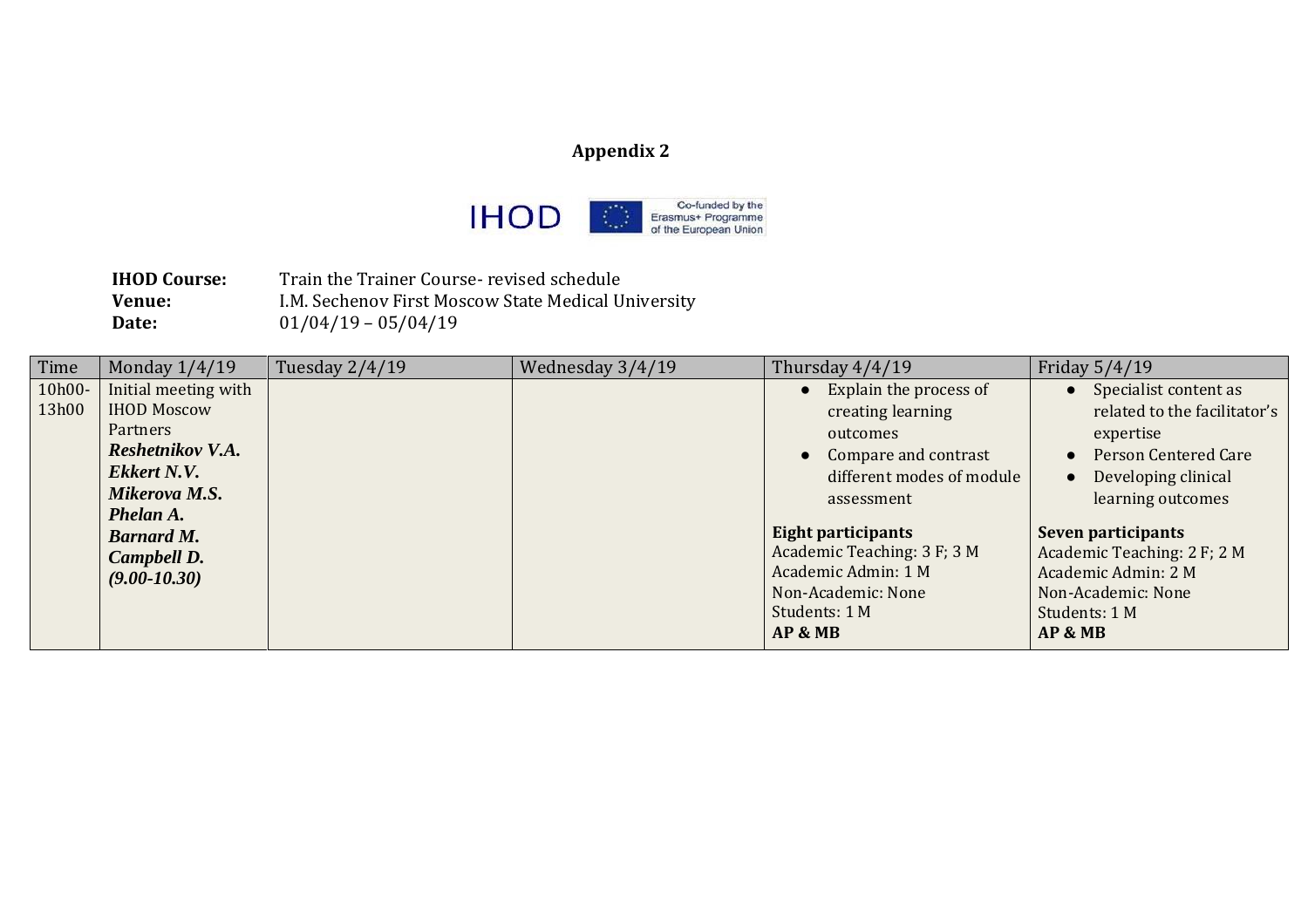### **Appendix 2**



**IHOD Course:** Train the Trainer Course- revised schedule **Venue:** I.M. Sechenov First Moscow State Medical University **Date:** 01/04/19 – 05/04/19

| Time   | Monday $1/4/19$      | Tuesday 2/4/19 | Wednesday 3/4/19 | Thursday $4/4/19$           | Friday 5/4/19                            |
|--------|----------------------|----------------|------------------|-----------------------------|------------------------------------------|
| 10h00- | Initial meeting with |                |                  | Explain the process of      | • Specialist content as                  |
| 13h00  | <b>IHOD Moscow</b>   |                |                  | creating learning           | related to the facilitator's             |
|        | <b>Partners</b>      |                |                  | outcomes                    | expertise                                |
|        | Reshetnikov V.A.     |                |                  | • Compare and contrast      | <b>Person Centered Care</b><br>$\bullet$ |
|        | Ekkert N.V.          |                |                  | different modes of module   | Developing clinical<br>$\bullet$         |
|        | Mikerova M.S.        |                |                  | assessment                  | learning outcomes                        |
|        | Phelan A.            |                |                  |                             |                                          |
|        | <b>Barnard M.</b>    |                |                  | Eight participants          | Seven participants                       |
|        | Campbell D.          |                |                  | Academic Teaching: 3 F; 3 M | Academic Teaching: 2 F; 2 M              |
|        | $(9.00 - 10.30)$     |                |                  | Academic Admin: 1 M         | Academic Admin: 2 M                      |
|        |                      |                |                  | Non-Academic: None          | Non-Academic: None                       |
|        |                      |                |                  | Students: 1 M               | Students: 1 M                            |
|        |                      |                |                  | AP & MB                     | AP & MB                                  |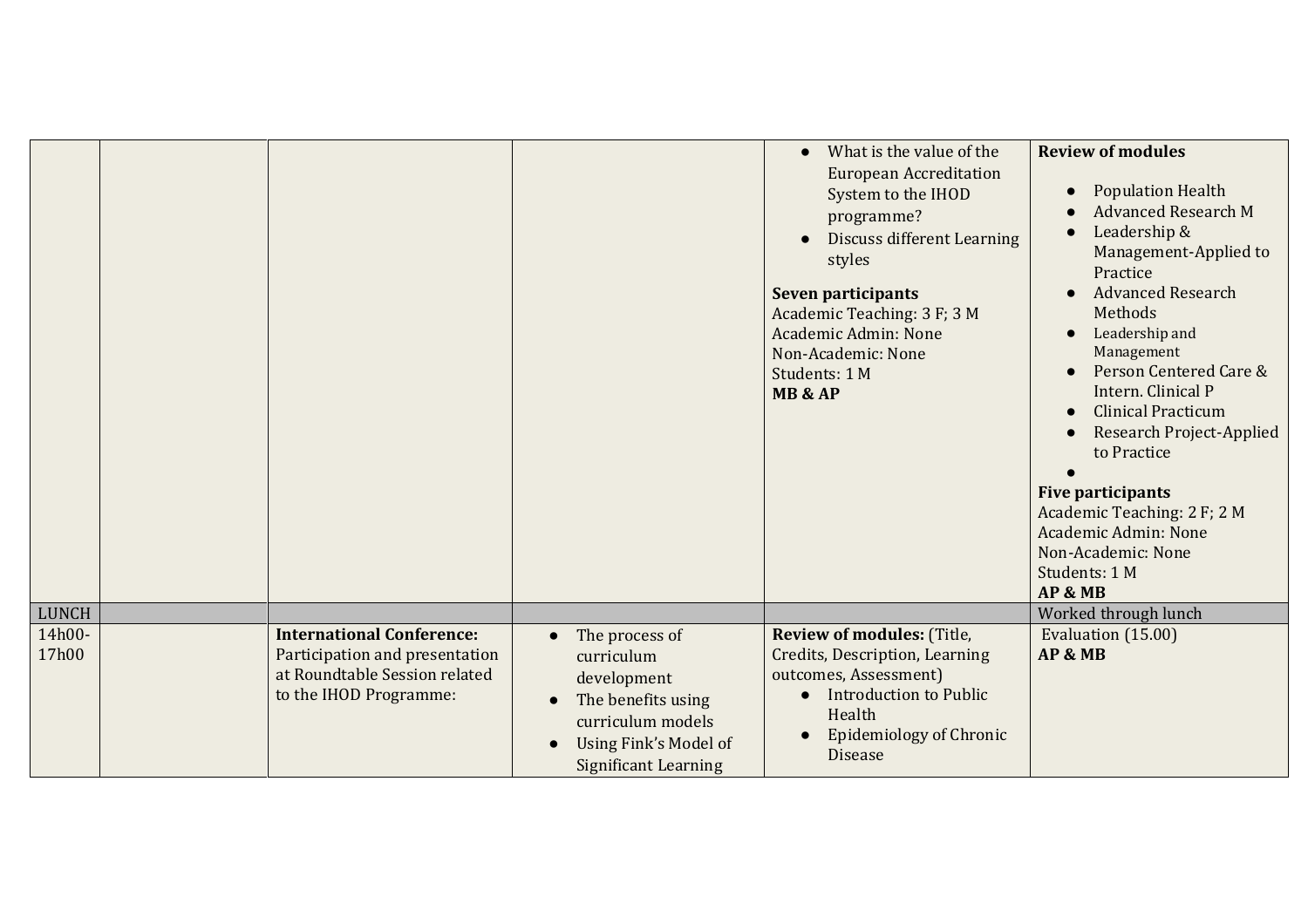|                 |                                                                                                                               |                                                                                                                                                             | What is the value of the<br><b>European Accreditation</b><br>System to the IHOD<br>programme?<br><b>Discuss different Learning</b><br>styles<br><b>Seven participants</b><br>Academic Teaching: 3 F; 3 M<br>Academic Admin: None<br>Non-Academic: None<br>Students: 1 M<br>MB & AP | <b>Review of modules</b><br><b>Population Health</b><br><b>Advanced Research M</b><br>Leadership &<br>Management-Applied to<br>Practice<br><b>Advanced Research</b><br>Methods<br>Leadership and<br>Management<br>Person Centered Care &<br>Intern. Clinical P<br><b>Clinical Practicum</b><br><b>Research Project-Applied</b><br>to Practice<br><b>Five participants</b><br>Academic Teaching: 2 F; 2 M<br>Academic Admin: None<br>Non-Academic: None<br>Students: 1 M |
|-----------------|-------------------------------------------------------------------------------------------------------------------------------|-------------------------------------------------------------------------------------------------------------------------------------------------------------|------------------------------------------------------------------------------------------------------------------------------------------------------------------------------------------------------------------------------------------------------------------------------------|-------------------------------------------------------------------------------------------------------------------------------------------------------------------------------------------------------------------------------------------------------------------------------------------------------------------------------------------------------------------------------------------------------------------------------------------------------------------------|
| LUNCH           |                                                                                                                               |                                                                                                                                                             |                                                                                                                                                                                                                                                                                    | AP & MB<br>Worked through lunch                                                                                                                                                                                                                                                                                                                                                                                                                                         |
| 14h00-<br>17h00 | <b>International Conference:</b><br>Participation and presentation<br>at Roundtable Session related<br>to the IHOD Programme: | The process of<br>$\bullet$<br>curriculum<br>development<br>The benefits using<br>curriculum models<br>Using Fink's Model of<br><b>Significant Learning</b> | <b>Review of modules: (Title,</b><br>Credits, Description, Learning<br>outcomes, Assessment)<br><b>Introduction to Public</b><br>Health<br><b>Epidemiology of Chronic</b><br><b>Disease</b>                                                                                        | Evaluation (15.00)<br>AP & MB                                                                                                                                                                                                                                                                                                                                                                                                                                           |